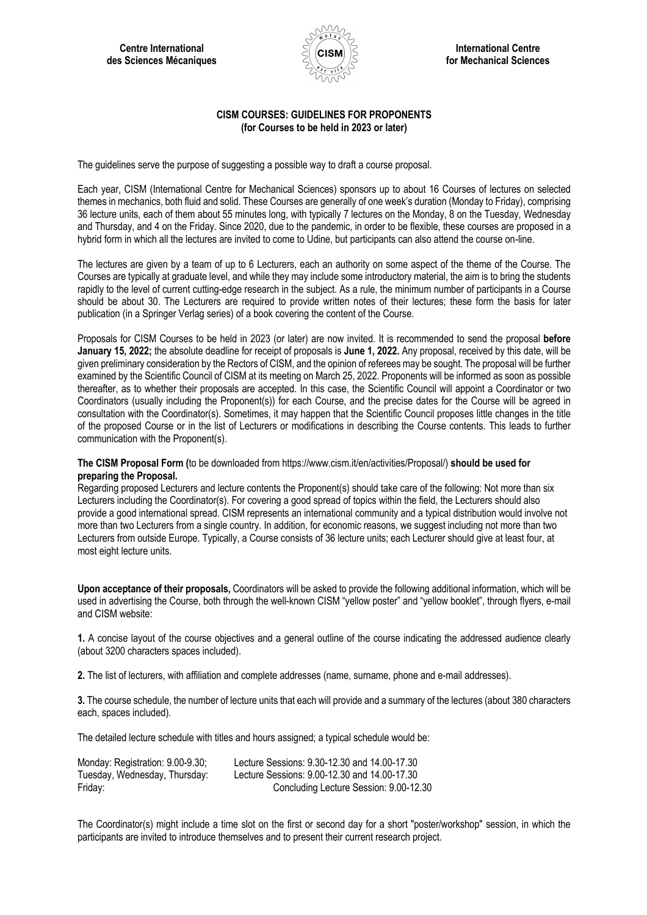

## **CISM COURSES: GUIDELINES FOR PROPONENTS (for Courses to be held in 2023 or later)**

The guidelines serve the purpose of suggesting a possible way to draft a course proposal.

Each year, CISM (International Centre for Mechanical Sciences) sponsors up to about 16 Courses of lectures on selected themes in mechanics, both fluid and solid. These Courses are generally of one week's duration (Monday to Friday), comprising 36 lecture units, each of them about 55 minutes long, with typically 7 lectures on the Monday, 8 on the Tuesday, Wednesday and Thursday, and 4 on the Friday. Since 2020, due to the pandemic, in order to be flexible, these courses are proposed in a hybrid form in which all the lectures are invited to come to Udine, but participants can also attend the course on-line.

The lectures are given by a team of up to 6 Lecturers, each an authority on some aspect of the theme of the Course. The Courses are typically at graduate level, and while they may include some introductory material, the aim is to bring the students rapidly to the level of current cutting-edge research in the subject. As a rule, the minimum number of participants in a Course should be about 30. The Lecturers are required to provide written notes of their lectures; these form the basis for later publication (in a Springer Verlag series) of a book covering the content of the Course.

Proposals for CISM Courses to be held in 2023 (or later) are now invited. It is recommended to send the proposal **before January 15, 2022;** the absolute deadline for receipt of proposals is **June 1, 2022.** Any proposal, received by this date, will be given preliminary consideration by the Rectors of CISM, and the opinion of referees may be sought. The proposal will be further examined by the Scientific Council of CISM at its meeting on March 25, 2022. Proponents will be informed as soon as possible thereafter, as to whether their proposals are accepted. In this case, the Scientific Council will appoint a Coordinator or two Coordinators (usually including the Proponent(s)) for each Course, and the precise dates for the Course will be agreed in consultation with the Coordinator(s). Sometimes, it may happen that the Scientific Council proposes little changes in the title of the proposed Course or in the list of Lecturers or modifications in describing the Course contents. This leads to further communication with the Proponent(s).

## **The CISM Proposal Form (**to be downloaded from https://www.cism.it/en/activities/Proposal/) **should be used for preparing the Proposal.**

Regarding proposed Lecturers and lecture contents the Proponent(s) should take care of the following: Not more than six Lecturers including the Coordinator(s). For covering a good spread of topics within the field, the Lecturers should also provide a good international spread. CISM represents an international community and a typical distribution would involve not more than two Lecturers from a single country. In addition, for economic reasons, we suggest including not more than two Lecturers from outside Europe. Typically, a Course consists of 36 lecture units; each Lecturer should give at least four, at most eight lecture units.

**Upon acceptance of their proposals,** Coordinators will be asked to provide the following additional information, which will be used in advertising the Course, both through the well-known CISM "yellow poster" and "yellow booklet", through flyers, e-mail and CISM website:

**1.** A concise layout of the course objectives and a general outline of the course indicating the addressed audience clearly (about 3200 characters spaces included).

**2.** The list of lecturers, with affiliation and complete addresses (name, surname, phone and e-mail addresses).

**3.** The course schedule, the number of lecture units that each will provide and a summary of the lectures (about 380 characters each, spaces included).

The detailed lecture schedule with titles and hours assigned; a typical schedule would be:

| Monday: Registration: 9.00-9.30; | Lecture Sessions: 9.30-12.30 and 14.00-17.30 |
|----------------------------------|----------------------------------------------|
| Tuesday, Wednesday, Thursday:    | Lecture Sessions: 9.00-12.30 and 14.00-17.30 |
| Friday:                          | Concluding Lecture Session: 9.00-12.30       |

The Coordinator(s) might include a time slot on the first or second day for a short "poster/workshop" session, in which the participants are invited to introduce themselves and to present their current research project.